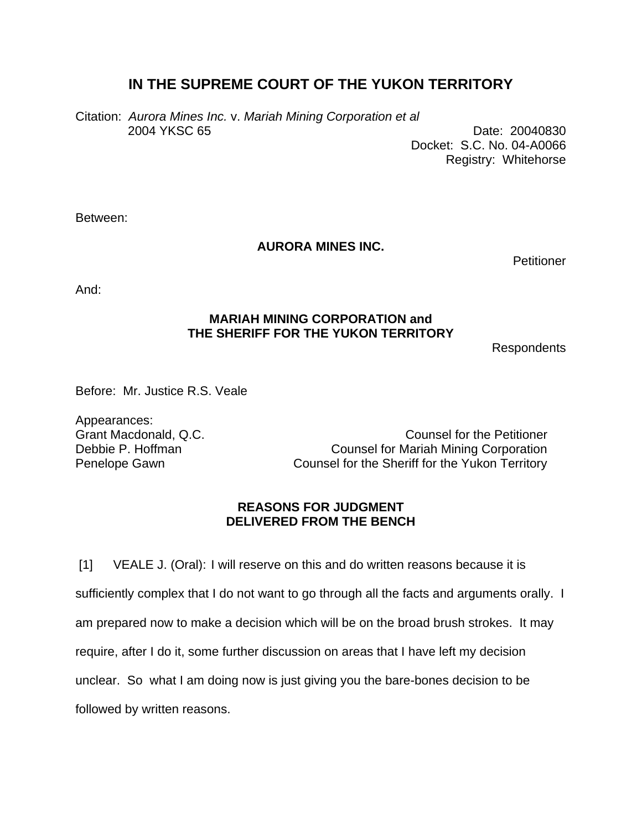## **IN THE SUPREME COURT OF THE YUKON TERRITORY**

Citation: *Aurora Mines Inc.* v. *Mariah Mining Corporation et al*  2004 YKSC 65 Date: 20040830

Docket: S.C. No. 04-A0066 Registry: Whitehorse

Between:

## **AURORA MINES INC.**

**Petitioner** 

And:

## **MARIAH MINING CORPORATION and THE SHERIFF FOR THE YUKON TERRITORY**

Respondents

Before: Mr. Justice R.S. Veale

Appearances:

Grant Macdonald, Q.C. Counsel for the Petitioner Debbie P. Hoffman **Counsel for Mariah Mining Corporation** Penelope Gawn Counsel for the Sheriff for the Yukon Territory

## **REASONS FOR JUDGMENT DELIVERED FROM THE BENCH**

[1] VEALE J. (Oral): I will reserve on this and do written reasons because it is sufficiently complex that I do not want to go through all the facts and arguments orally. I am prepared now to make a decision which will be on the broad brush strokes. It may require, after I do it, some further discussion on areas that I have left my decision unclear. So what I am doing now is just giving you the bare-bones decision to be followed by written reasons.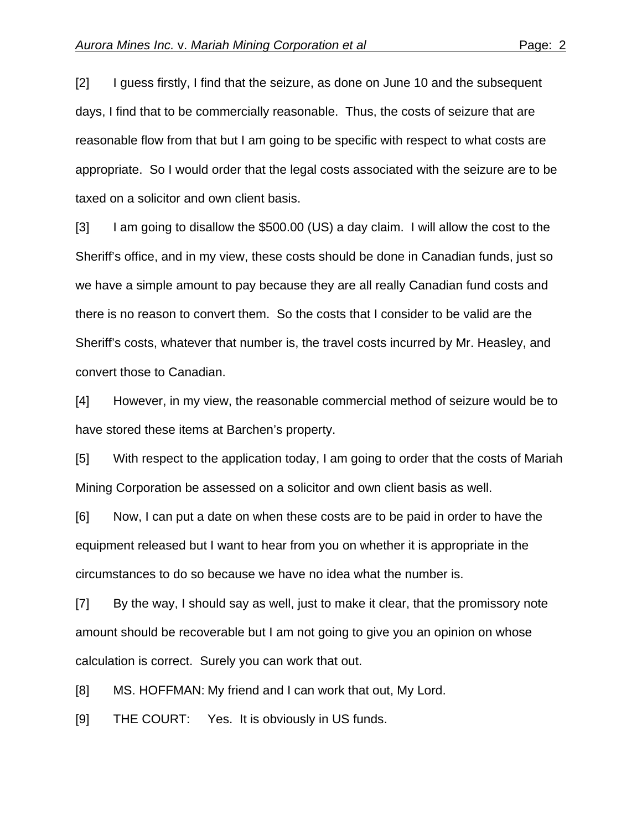[2] I guess firstly, I find that the seizure, as done on June 10 and the subsequent days, I find that to be commercially reasonable. Thus, the costs of seizure that are reasonable flow from that but I am going to be specific with respect to what costs are appropriate. So I would order that the legal costs associated with the seizure are to be taxed on a solicitor and own client basis.

[3] I am going to disallow the \$500.00 (US) a day claim. I will allow the cost to the Sheriff's office, and in my view, these costs should be done in Canadian funds, just so we have a simple amount to pay because they are all really Canadian fund costs and there is no reason to convert them. So the costs that I consider to be valid are the Sheriff's costs, whatever that number is, the travel costs incurred by Mr. Heasley, and convert those to Canadian.

[4] However, in my view, the reasonable commercial method of seizure would be to have stored these items at Barchen's property.

[5] With respect to the application today, I am going to order that the costs of Mariah Mining Corporation be assessed on a solicitor and own client basis as well.

[6] Now, I can put a date on when these costs are to be paid in order to have the equipment released but I want to hear from you on whether it is appropriate in the circumstances to do so because we have no idea what the number is.

[7] By the way, I should say as well, just to make it clear, that the promissory note amount should be recoverable but I am not going to give you an opinion on whose calculation is correct. Surely you can work that out.

[8] MS. HOFFMAN: My friend and I can work that out, My Lord.

[9] THE COURT: Yes. It is obviously in US funds.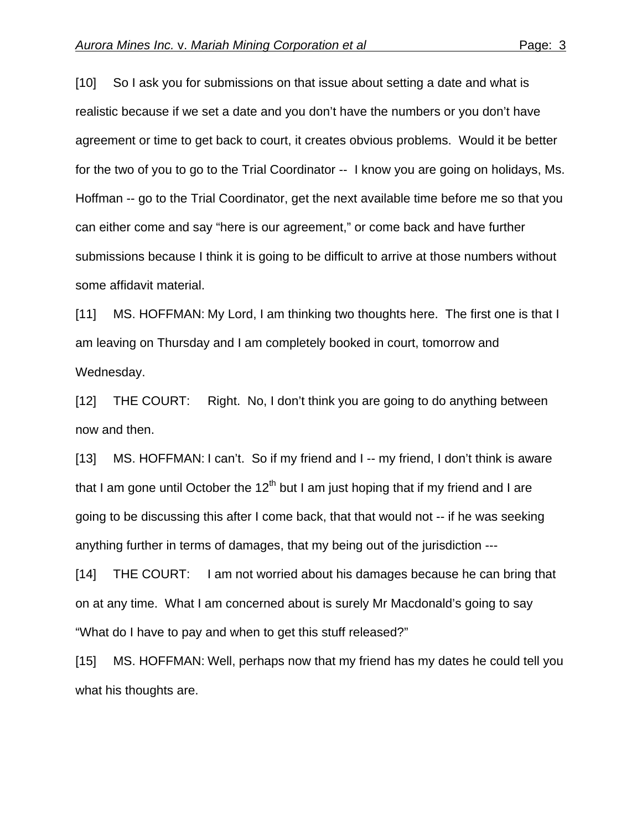[10] So I ask you for submissions on that issue about setting a date and what is realistic because if we set a date and you don't have the numbers or you don't have agreement or time to get back to court, it creates obvious problems. Would it be better for the two of you to go to the Trial Coordinator -- I know you are going on holidays, Ms. Hoffman -- go to the Trial Coordinator, get the next available time before me so that you can either come and say "here is our agreement," or come back and have further submissions because I think it is going to be difficult to arrive at those numbers without some affidavit material.

[11] MS. HOFFMAN: My Lord, I am thinking two thoughts here. The first one is that I am leaving on Thursday and I am completely booked in court, tomorrow and Wednesday.

[12] THE COURT: Right. No, I don't think you are going to do anything between now and then.

[13] MS. HOFFMAN: I can't. So if my friend and I -- my friend, I don't think is aware that I am gone until October the  $12<sup>th</sup>$  but I am just hoping that if my friend and I are going to be discussing this after I come back, that that would not -- if he was seeking anything further in terms of damages, that my being out of the jurisdiction ---

[14] THE COURT: I am not worried about his damages because he can bring that on at any time. What I am concerned about is surely Mr Macdonald's going to say "What do I have to pay and when to get this stuff released?"

[15] MS. HOFFMAN: Well, perhaps now that my friend has my dates he could tell you what his thoughts are.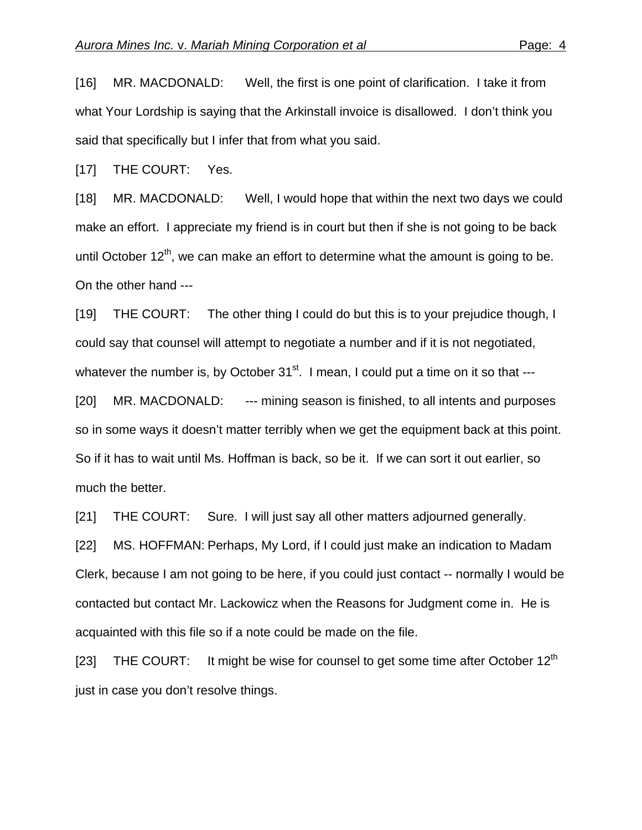[16] MR. MACDONALD: Well, the first is one point of clarification. I take it from what Your Lordship is saying that the Arkinstall invoice is disallowed. I don't think you said that specifically but I infer that from what you said.

[17] THE COURT: Yes.

[18] MR. MACDONALD: Well, I would hope that within the next two days we could make an effort. I appreciate my friend is in court but then if she is not going to be back until October  $12<sup>th</sup>$ , we can make an effort to determine what the amount is going to be. On the other hand ---

[19] THE COURT: The other thing I could do but this is to your prejudice though, I could say that counsel will attempt to negotiate a number and if it is not negotiated, whatever the number is, by October  $31<sup>st</sup>$ . I mean, I could put a time on it so that ---

[20] MR. MACDONALD: --- mining season is finished, to all intents and purposes so in some ways it doesn't matter terribly when we get the equipment back at this point. So if it has to wait until Ms. Hoffman is back, so be it. If we can sort it out earlier, so much the better.

[21] THE COURT: Sure. I will just say all other matters adjourned generally.

[22] MS. HOFFMAN: Perhaps, My Lord, if I could just make an indication to Madam Clerk, because I am not going to be here, if you could just contact -- normally I would be contacted but contact Mr. Lackowicz when the Reasons for Judgment come in. He is acquainted with this file so if a note could be made on the file.

[23] THE COURT: It might be wise for counsel to get some time after October  $12<sup>th</sup>$ just in case you don't resolve things.